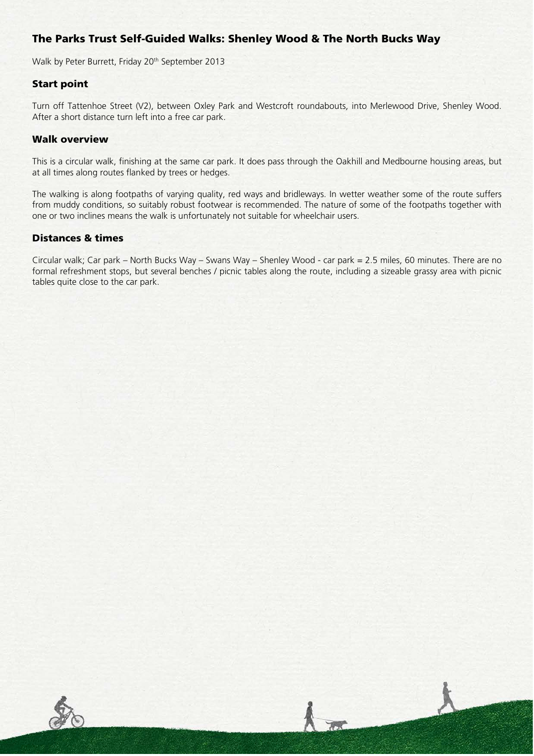# The Parks Trust Self-Guided Walks: Shenley Wood & The North Bucks Way

Walk by Peter Burrett, Friday 20<sup>th</sup> September 2013

### Start point

Turn off Tattenhoe Street (V2), between Oxley Park and Westcroft roundabouts, into Merlewood Drive, Shenley Wood. After a short distance turn left into a free car park.

#### Walk overview

This is a circular walk, finishing at the same car park. It does pass through the Oakhill and Medbourne housing areas, but at all times along routes flanked by trees or hedges.

The walking is along footpaths of varying quality, red ways and bridleways. In wetter weather some of the route suffers from muddy conditions, so suitably robust footwear is recommended. The nature of some of the footpaths together with one or two inclines means the walk is unfortunately not suitable for wheelchair users.

### Distances & times

Circular walk; Car park – North Bucks Way – Swans Way – Shenley Wood - car park = 2.5 miles, 60 minutes. There are no formal refreshment stops, but several benches / picnic tables along the route, including a sizeable grassy area with picnic tables quite close to the car park.

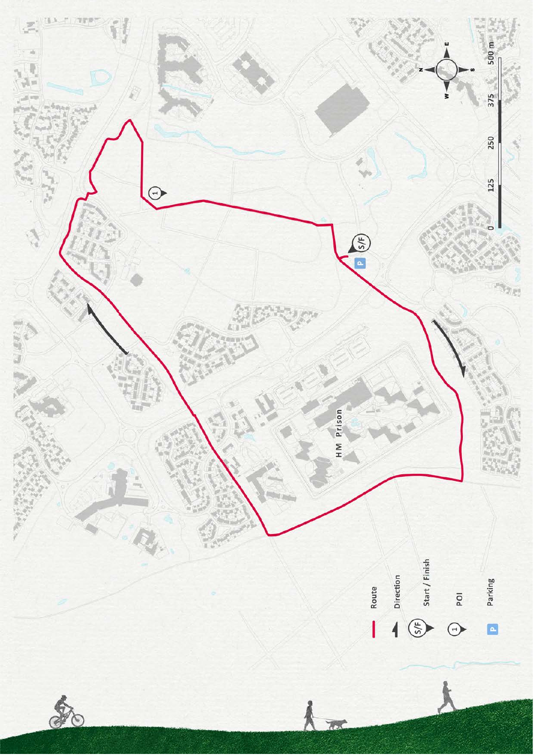